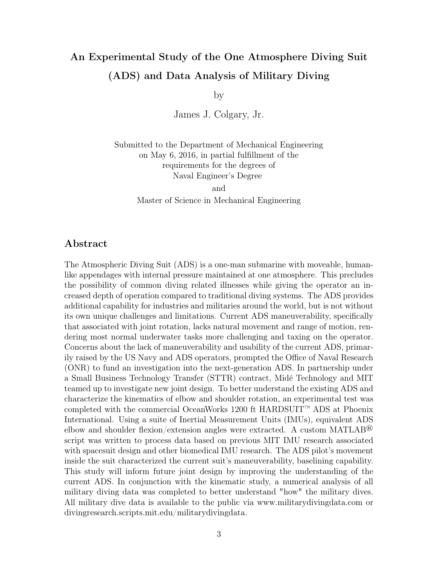## An Experimental Study of the One Atmosphere Diving Suit (ADS) and Data Analysis of Military Diving

by

James J. Colgary, Jr.

Submitted to the Department of Mechanical Engineering on May 6, 2016, in partial fulfillment of the requirements for the degrees of Naval Engineer's Degree

> and Master of Science in Mechanical Engineering

## Abstract

The Atmospheric Diving Suit (ADS) is a one-man submarine with moveable, humanlike appendages with internal pressure maintained at one atmosphere. This precludes the possibility of common diving related illnesses while giving the operator an increased depth of operation compared to traditional diving systems. The ADS provides additional capability for industries and militaries around the world, but is not without its own unique challenges and limitations. Current ADS maneuverability, specifically that associated with joint rotation, lacks natural movement and range of motion, rendering most normal underwater tasks more challenging and taxing on the operator. Concerns about the lack of maneuverability and usability of the current ADS, primarily raised by the US Navy and ADS operators, prompted the Office of Naval Research (ONR) to fund an investigation into the next-generation ADS. In partnership under a Small Business Technology Transfer (STTR) contract, Midé Technology and MIT teamed up to investigate new joint design. To better understand the existing ADS and characterize the kinematics of elbow and shoulder rotation, an experimental test was completed with the commercial OceanWorks 1200 ft HARDSUIT™ ADS at Phoenix International. Using a suite of Inertial Measurement Units (IMUs), equivalent ADS elbow and shoulder flexion/extension angles were extracted. A custom MATLAB<sup>®</sup> script was written to process data based on previous MIT IMU research associated with spacesuit design and other biomedical IMU research. The ADS pilot's movement inside the suit characterized the current suit's maneuverability, baselining capability. This study will inform future joint design by improving the understanding of the current ADS. In conjunction with the kinematic study, a numerical analysis of all military diving data was completed to better understand "how" the military dives. All military dive data is available to the public via www.militarydivingdata.com or divingresearch.scripts.mit.edu/militarydivingdata.